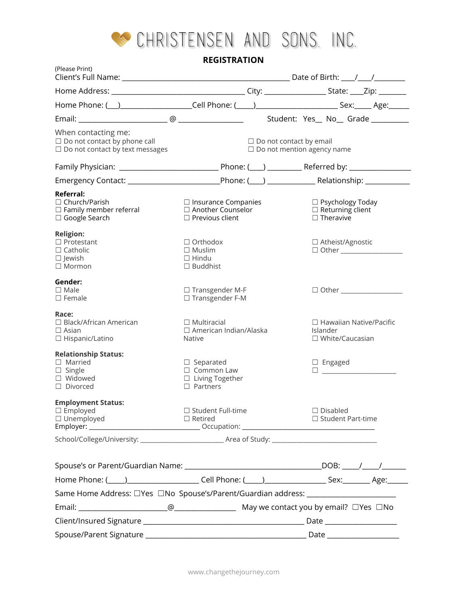

**REGISTRATION**

| (Please Print)                                                                                                 |                                                                                    |                                                                     |                                                                             |
|----------------------------------------------------------------------------------------------------------------|------------------------------------------------------------------------------------|---------------------------------------------------------------------|-----------------------------------------------------------------------------|
|                                                                                                                |                                                                                    |                                                                     |                                                                             |
|                                                                                                                |                                                                                    |                                                                     |                                                                             |
|                                                                                                                |                                                                                    |                                                                     |                                                                             |
| When contacting me:<br>$\Box$ Do not contact by phone call<br>$\square$ Do not contact by text messages        |                                                                                    | $\Box$ Do not contact by email<br>$\Box$ Do not mention agency name |                                                                             |
|                                                                                                                |                                                                                    |                                                                     |                                                                             |
|                                                                                                                |                                                                                    |                                                                     |                                                                             |
| Referral:<br>$\Box$ Church/Parish<br>$\Box$ Family member referral<br>$\Box$ Google Search                     | $\Box$ Insurance Companies<br>□ Another Counselor<br>$\Box$ Previous client        |                                                                     | $\Box$ Psychology Today<br>$\Box$ Returning client<br>$\Box$ Theravive      |
| <b>Religion:</b><br>$\Box$ Protestant<br>$\Box$ Catholic<br>$\Box$ Jewish<br>$\Box$ Mormon                     | $\Box$ Orthodox<br>$\Box$ Muslim<br>$\Box$ Hindu<br>$\Box$ Buddhist                |                                                                     | □ Atheist/Agnostic<br>$\Box$ Other $\Box$                                   |
| Gender:<br>$\Box$ Male<br>$\Box$ Female                                                                        | $\Box$ Transgender M-F<br>$\Box$ Transgender F-M                                   |                                                                     |                                                                             |
| Race:<br>$\Box$ Black/African American<br>$\Box$ Asian<br>$\Box$ Hispanic/Latino                               | $\Box$ Multiracial<br>□ American Indian/Alaska<br><b>Native</b>                    |                                                                     | $\Box$ Hawaiian Native/Pacific<br><b>Islander</b><br>$\Box$ White/Caucasian |
| <b>Relationship Status:</b><br>$\Box$ Married<br>$\Box$ Single<br>□ Widowed<br>$\Box$ Divorced                 | $\Box$ Separated<br>$\Box$ Common Law<br>$\Box$ Living Together<br>$\Box$ Partners |                                                                     | $\Box$ Engaged                                                              |
| <b>Employment Status:</b><br>$\Box$ Employed<br>$\Box$ Unemployed                                              | □ Student Full-time<br>$\Box$ Retired                                              | Disabled                                                            | $\Box$ Student Part-time                                                    |
|                                                                                                                |                                                                                    |                                                                     |                                                                             |
|                                                                                                                |                                                                                    |                                                                     |                                                                             |
|                                                                                                                |                                                                                    |                                                                     |                                                                             |
| Home Phone: (1992) 2020 Cell Phone: (2008) 2020 2021 2032 204: 2020 2031 204: 204: 204: 204: 204: 204: 204: 20 |                                                                                    |                                                                     |                                                                             |
| Same Home Address: □ Yes □ No Spouse's/Parent/Guardian address: ________________                               |                                                                                    |                                                                     |                                                                             |
|                                                                                                                |                                                                                    |                                                                     |                                                                             |
|                                                                                                                |                                                                                    |                                                                     |                                                                             |
|                                                                                                                |                                                                                    |                                                                     |                                                                             |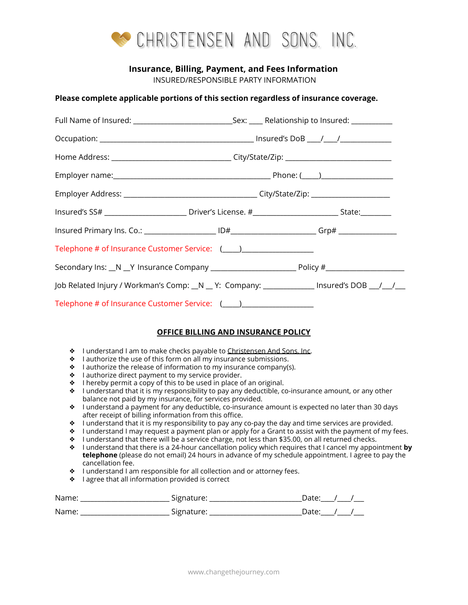

## **Insurance, Billing, Payment, and Fees Information**

INSURED/RESPONSIBLE PARTY INFORMATION

#### **Please complete applicable portions of this section regardless of insurance coverage.**

| Insured's SS# ______________________________Driver's License. #_______________________________State:__________ |  |  |  |  |
|----------------------------------------------------------------------------------------------------------------|--|--|--|--|
|                                                                                                                |  |  |  |  |
| Telephone # of Insurance Customer Service: (____)_______________________________                               |  |  |  |  |
|                                                                                                                |  |  |  |  |
| Job Related Injury / Workman's Comp: _N _ Y: Company: ___________ Insured's DOB __/__/__                       |  |  |  |  |
|                                                                                                                |  |  |  |  |

## **OFFICE BILLING AND INSURANCE POLICY**

- ❖ I understand I am to make checks payable to Christensen And Sons, Inc.
- $\bullet$  I authorize the use of this form on all my insurance submissions.
- $\bullet$  I authorize the release of information to my insurance company(s).
- ❖ I authorize direct payment to my service provider.
- $\bullet$  I hereby permit a copy of this to be used in place of an original.
- $\bullet$  I understand that it is my responsibility to pay any deductible, co-insurance amount, or any other balance not paid by my insurance, for services provided.
- ❖ I understand a payment for any deductible, co-insurance amount is expected no later than 30 days after receipt of billing information from this office.
- ❖ I understand that it is my responsibility to pay any co-pay the day and time services are provided.
- $\bullet$  I understand I may request a payment plan or apply for a Grant to assist with the payment of my fees.
- ❖ I understand that there will be a service charge, not less than \$35.00, on all returned checks.
- ❖ I understand that there is a 24-hour cancellation policy which requires that I cancel my appointment **by telephone** (please do not email) 24 hours in advance of my schedule appointment. I agree to pay the cancellation fee.
- ❖ I understand I am responsible for all collection and or attorney fees.
- ❖ I agree that all information provided is correct

| Name: | Signature: | Jate <sup>.</sup> |  |
|-------|------------|-------------------|--|
| Name: | Signature: | Date <sup>.</sup> |  |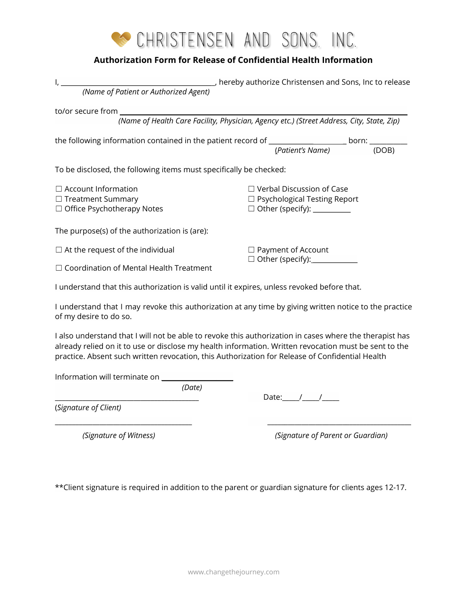

# **Authorization Form for Release of Confidential Health Information**

| (Name of Patient or Authorized Agent)                                                                                                                                                                                                                                                                               |                                                 |                                                                                           |
|---------------------------------------------------------------------------------------------------------------------------------------------------------------------------------------------------------------------------------------------------------------------------------------------------------------------|-------------------------------------------------|-------------------------------------------------------------------------------------------|
| to/or secure from _____                                                                                                                                                                                                                                                                                             |                                                 |                                                                                           |
|                                                                                                                                                                                                                                                                                                                     |                                                 | (Name of Health Care Facility, Physician, Agency etc.) (Street Address, City, State, Zip) |
| the following information contained in the patient record of _____________________ born: __________                                                                                                                                                                                                                 |                                                 |                                                                                           |
|                                                                                                                                                                                                                                                                                                                     |                                                 | (Patient's Name)<br>(DOB)                                                                 |
| To be disclosed, the following items must specifically be checked:                                                                                                                                                                                                                                                  |                                                 |                                                                                           |
| $\Box$ Account Information                                                                                                                                                                                                                                                                                          | $\Box$ Verbal Discussion of Case                |                                                                                           |
| $\Box$ Treatment Summary                                                                                                                                                                                                                                                                                            |                                                 | $\Box$ Psychological Testing Report                                                       |
| □ Office Psychotherapy Notes                                                                                                                                                                                                                                                                                        |                                                 | $\Box$ Other (specify): $\_\_\_\_\_\_\_\_\_\_\_\_\_\_\_\_\_\_\_$                          |
| The purpose(s) of the authorization is (are):                                                                                                                                                                                                                                                                       |                                                 |                                                                                           |
| $\Box$ At the request of the individual                                                                                                                                                                                                                                                                             | $\Box$ Payment of Account                       |                                                                                           |
| $\Box$ Coordination of Mental Health Treatment                                                                                                                                                                                                                                                                      | □ Other (specify): <u>■ ■ Other (specify</u> ): |                                                                                           |
| I understand that this authorization is valid until it expires, unless revoked before that.                                                                                                                                                                                                                         |                                                 |                                                                                           |
| I understand that I may revoke this authorization at any time by giving written notice to the practice<br>of my desire to do so.                                                                                                                                                                                    |                                                 |                                                                                           |
| I also understand that I will not be able to revoke this authorization in cases where the therapist has<br>already relied on it to use or disclose my health information. Written revocation must be sent to the<br>practice. Absent such written revocation, this Authorization for Release of Confidential Health |                                                 |                                                                                           |
| Information will terminate on ____________                                                                                                                                                                                                                                                                          |                                                 |                                                                                           |
| (Date)                                                                                                                                                                                                                                                                                                              |                                                 | Date: $\frac{1}{\sqrt{2}}$                                                                |
| (Signature of Client)                                                                                                                                                                                                                                                                                               |                                                 |                                                                                           |
| (Signature of Witness)                                                                                                                                                                                                                                                                                              |                                                 | (Signature of Parent or Guardian)                                                         |
|                                                                                                                                                                                                                                                                                                                     |                                                 |                                                                                           |

\*\*Client signature is required in addition to the parent or guardian signature for clients ages 12-17.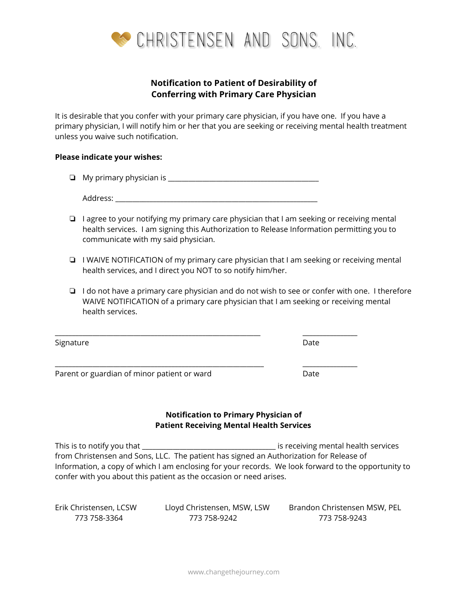

# **Notification to Patient of Desirability of Conferring with Primary Care Physician**

It is desirable that you confer with your primary care physician, if you have one. If you have a primary physician, I will notify him or her that you are seeking or receiving mental health treatment unless you waive such notification.

#### **Please indicate your wishes:**

❏ My primary physician is \_\_\_\_\_\_\_\_\_\_\_\_\_\_\_\_\_\_\_\_\_\_\_\_\_\_\_\_\_\_\_\_\_\_\_\_\_\_\_\_\_\_\_\_

Address: \_\_\_\_\_\_\_\_\_\_\_\_\_\_\_\_\_\_\_\_\_\_\_\_\_\_\_\_\_\_\_\_\_\_\_\_\_\_\_\_\_\_\_\_\_\_\_\_\_\_\_\_\_\_\_\_\_\_\_

- ❏ I agree to your notifying my primary care physician that I am seeking or receiving mental health services. I am signing this Authorization to Release Information permitting you to communicate with my said physician.
- ❏ I WAIVE NOTIFICATION of my primary care physician that I am seeking or receiving mental health services, and I direct you NOT to so notify him/her.
- ❏ I do not have a primary care physician and do not wish to see or confer with one. I therefore WAIVE NOTIFICATION of a primary care physician that I am seeking or receiving mental health services.

\_\_\_\_\_\_\_\_\_\_\_\_\_\_\_\_\_\_\_\_\_\_\_\_\_\_\_\_\_\_\_\_\_\_\_\_\_\_\_\_\_\_\_\_\_\_\_\_\_\_\_\_\_\_\_\_\_\_\_\_ \_\_\_\_\_\_\_\_\_\_\_\_\_\_\_\_

\_\_\_\_\_\_\_\_\_\_\_\_\_\_\_\_\_\_\_\_\_\_\_\_\_\_\_\_\_\_\_\_\_\_\_\_\_\_\_\_\_\_\_\_\_\_\_\_\_\_\_\_\_\_\_\_\_\_\_\_\_ \_\_\_\_\_\_\_\_\_\_\_\_\_\_\_\_

Signature Date

Parent or guardian of minor patient or ward Date

## **Notification to Primary Physician of Patient Receiving Mental Health Services**

This is to notify you that the service of the services of the service of the services of the services of the services of the services of the services of the services of the services of the services of the services of the s from Christensen and Sons, LLC. The patient has signed an Authorization for Release of Information, a copy of which I am enclosing for your records. We look forward to the opportunity to confer with you about this patient as the occasion or need arises.

| Erik Christensen, LCSW | Lloyd Christensen, MSW, LSW | Brandon Christensen MSW, PEL |
|------------------------|-----------------------------|------------------------------|
| 773 758-3364           | 773 758-9242                | 773 758-9243                 |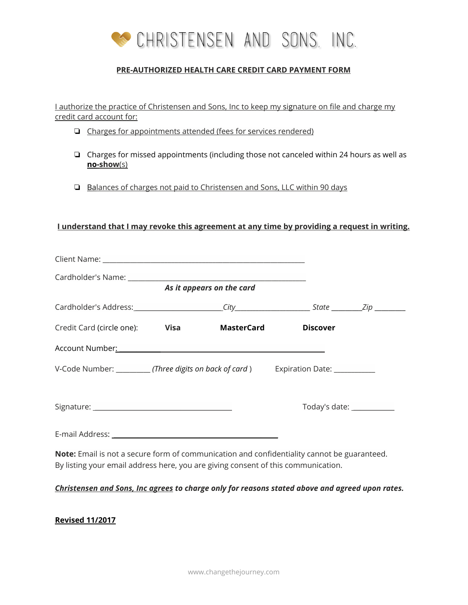

# **PRE-AUTHORIZED HEALTH CARE CREDIT CARD PAYMENT FORM**

I authorize the practice of Christensen and Sons, Inc to keep my signature on file and charge my credit card account for:

- ❏ Charges for appointments attended (fees for services rendered)
- ❏ Charges for missed appointments (including those not canceled within 24 hours as well as **no-show**(s)
- ❏ Balances of charges not paid to Christensen and Sons, LLC within 90 days

## **I understand that I may revoke this agreement at any time by providing a request in writing.**

| As it appears on the card                                                                                                                                                               |  |            |                 |                               |  |
|-----------------------------------------------------------------------------------------------------------------------------------------------------------------------------------------|--|------------|-----------------|-------------------------------|--|
|                                                                                                                                                                                         |  |            |                 |                               |  |
| Credit Card (circle one): <b>Visa</b>                                                                                                                                                   |  | MasterCard | <b>Discover</b> |                               |  |
| Account Number: Manual Manual Manual Manual Manual Manual Manual Manual Manual Manual Manual Manual Manual Manual                                                                       |  |            |                 |                               |  |
| V-Code Number: ____________(Three digits on back of card) Expiration Date: ___________                                                                                                  |  |            |                 |                               |  |
|                                                                                                                                                                                         |  |            |                 | Today's date: _______________ |  |
| E-mail Address: No. 1997 - All Annual Address: No. 1997 - All Annual Address: No. 1997 - All Annual Address: No                                                                         |  |            |                 |                               |  |
| <b>Note:</b> Email is not a secure form of communication and confidentiality cannot be guaranteed.<br>By listing your email address here, you are giving consent of this communication. |  |            |                 |                               |  |

*Christensen and Sons, Inc agrees to charge only for reasons stated above and agreed upon rates.*

## **Revised 11/2017**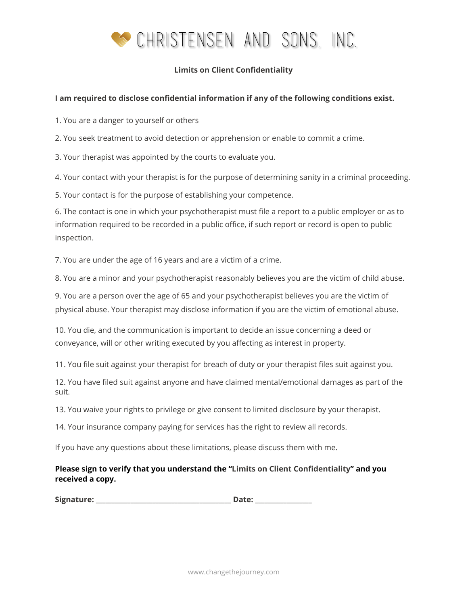

# **Limits on Client Confidentiality**

## **I am required to disclose confidential information if any of the following conditions exist.**

1. You are a danger to yourself or others

2. You seek treatment to avoid detection or apprehension or enable to commit a crime.

3. Your therapist was appointed by the courts to evaluate you.

4. Your contact with your therapist is for the purpose of determining sanity in a criminal proceeding.

5. Your contact is for the purpose of establishing your competence.

6. The contact is one in which your psychotherapist must file a report to a public employer or as to information required to be recorded in a public office, if such report or record is open to public inspection.

7. You are under the age of 16 years and are a victim of a crime.

8. You are a minor and your psychotherapist reasonably believes you are the victim of child abuse.

9. You are a person over the age of 65 and your psychotherapist believes you are the victim of physical abuse. Your therapist may disclose information if you are the victim of emotional abuse.

10. You die, and the communication is important to decide an issue concerning a deed or conveyance, will or other writing executed by you affecting as interest in property.

11. You file suit against your therapist for breach of duty or your therapist files suit against you.

12. You have filed suit against anyone and have claimed mental/emotional damages as part of the suit.

13. You waive your rights to privilege or give consent to limited disclosure by your therapist.

14. Your insurance company paying for services has the right to review all records.

If you have any questions about these limitations, please discuss them with me.

# **Please sign to verify that you understand the "Limits on Client Confidentiality" and you received a copy.**

**Signature: \_\_\_\_\_\_\_\_\_\_\_\_\_\_\_\_\_\_\_\_\_\_\_\_\_\_\_\_\_\_\_\_\_\_\_\_\_\_\_\_\_\_\_ Date: \_\_\_\_\_\_\_\_\_\_\_\_\_\_\_\_\_\_**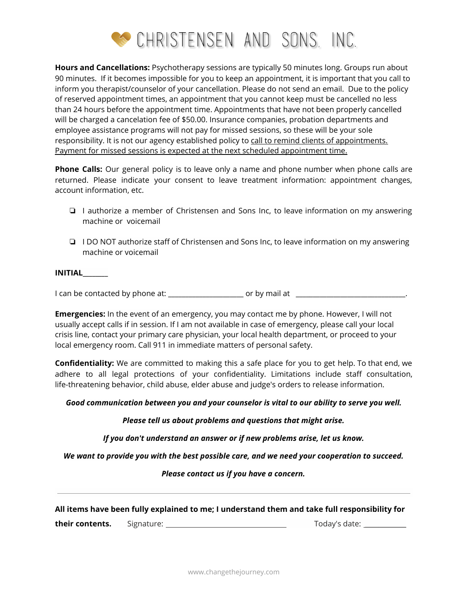

**Hours and Cancellations:** Psychotherapy sessions are typically 50 minutes long. Groups run about 90 minutes. If it becomes impossible for you to keep an appointment, it is important that you call to inform you therapist/counselor of your cancellation. Please do not send an email. Due to the policy of reserved appointment times, an appointment that you cannot keep must be cancelled no less than 24 hours before the appointment time. Appointments that have not been properly cancelled will be charged a cancelation fee of \$50.00. Insurance companies, probation departments and employee assistance programs will not pay for missed sessions, so these will be your sole responsibility. It is not our agency established policy to call to remind clients of appointments. Payment for missed sessions is expected at the next scheduled appointment time.

**Phone Calls:** Our general policy is to leave only a name and phone number when phone calls are returned. Please indicate your consent to leave treatment information: appointment changes, account information, etc.

- ❏ I authorize a member of Christensen and Sons Inc, to leave information on my answering machine or voicemail
- ❏ I DO NOT authorize staff of Christensen and Sons Inc, to leave information on my answering machine or voicemail

## **INITIAL\_\_\_\_\_\_\_\_**

I can be contacted by phone at: \_\_\_\_\_\_\_\_\_\_\_\_\_\_\_\_\_\_\_\_\_\_ or by mail at \_\_\_\_\_\_\_\_\_\_\_\_\_\_\_\_\_\_\_\_\_\_\_\_\_\_\_\_\_\_\_\_.

**Emergencies:** In the event of an emergency, you may contact me by phone. However, I will not usually accept calls if in session. If I am not available in case of emergency, please call your local crisis line, contact your primary care physician, your local health department, or proceed to your local emergency room. Call 911 in immediate matters of personal safety.

**Confidentiality:** We are committed to making this a safe place for you to get help. To that end, we adhere to all legal protections of your confidentiality. Limitations include staff consultation, life-threatening behavior, child abuse, elder abuse and judge's orders to release information.

#### *Good communication between you and your counselor is vital to our ability to serve you well.*

## *Please tell us about problems and questions that might arise.*

*If you don't understand an answer or if new problems arise, let us know.*

*We want to provide you with the best possible care, and we need your cooperation to succeed.*

*Please contact us if you have a concern.*

#### **All items have been fully explained to me; I understand them and take full responsibility for**

**their contents.** Signature: Today's date: \_\_\_\_\_\_\_\_\_\_\_\_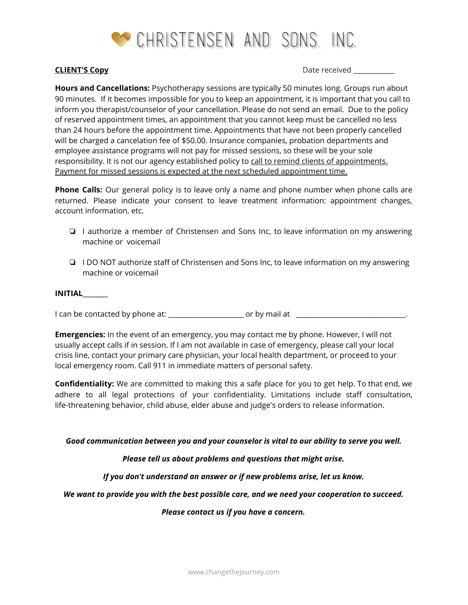

**CLIENT'S Copy** Date received \_\_\_\_\_\_\_\_\_\_\_\_

**Hours and Cancellations:** Psychotherapy sessions are typically 50 minutes long. Groups run about 90 minutes. If it becomes impossible for you to keep an appointment, it is important that you call to inform you therapist/counselor of your cancellation. Please do not send an email. Due to the policy of reserved appointment times, an appointment that you cannot keep must be cancelled no less than 24 hours before the appointment time. Appointments that have not been properly cancelled will be charged a cancelation fee of \$50.00. Insurance companies, probation departments and employee assistance programs will not pay for missed sessions, so these will be your sole responsibility. It is not our agency established policy to call to remind clients of appointments. Payment for missed sessions is expected at the next scheduled appointment time.

**Phone Calls:** Our general policy is to leave only a name and phone number when phone calls are returned. Please indicate your consent to leave treatment information: appointment changes, account information, etc.

- ❏ I authorize a member of Christensen and Sons Inc, to leave information on my answering machine or voicemail
- ❏ I DO NOT authorize staff of Christensen and Sons Inc, to leave information on my answering machine or voicemail

#### **INITIAL\_\_\_\_\_\_\_\_**

I can be contacted by phone at: \_\_\_\_\_\_\_\_\_\_\_\_\_\_\_\_\_\_\_\_\_\_ or by mail at \_\_\_\_\_\_\_\_\_\_\_\_\_\_\_\_\_\_\_\_\_\_\_\_\_\_\_\_\_\_\_\_.

**Emergencies:** In the event of an emergency, you may contact me by phone. However, I will not usually accept calls if in session. If I am not available in case of emergency, please call your local crisis line, contact your primary care physician, your local health department, or proceed to your local emergency room. Call 911 in immediate matters of personal safety.

**Confidentiality:** We are committed to making this a safe place for you to get help. To that end, we adhere to all legal protections of your confidentiality. Limitations include staff consultation, life-threatening behavior, child abuse, elder abuse and judge's orders to release information.

#### *Good communication between you and your counselor is vital to our ability to serve you well.*

## *Please tell us about problems and questions that might arise.*

*If you don't understand an answer or if new problems arise, let us know.*

#### *We want to provide you with the best possible care, and we need your cooperation to succeed.*

## *Please contact us if you have a concern.*